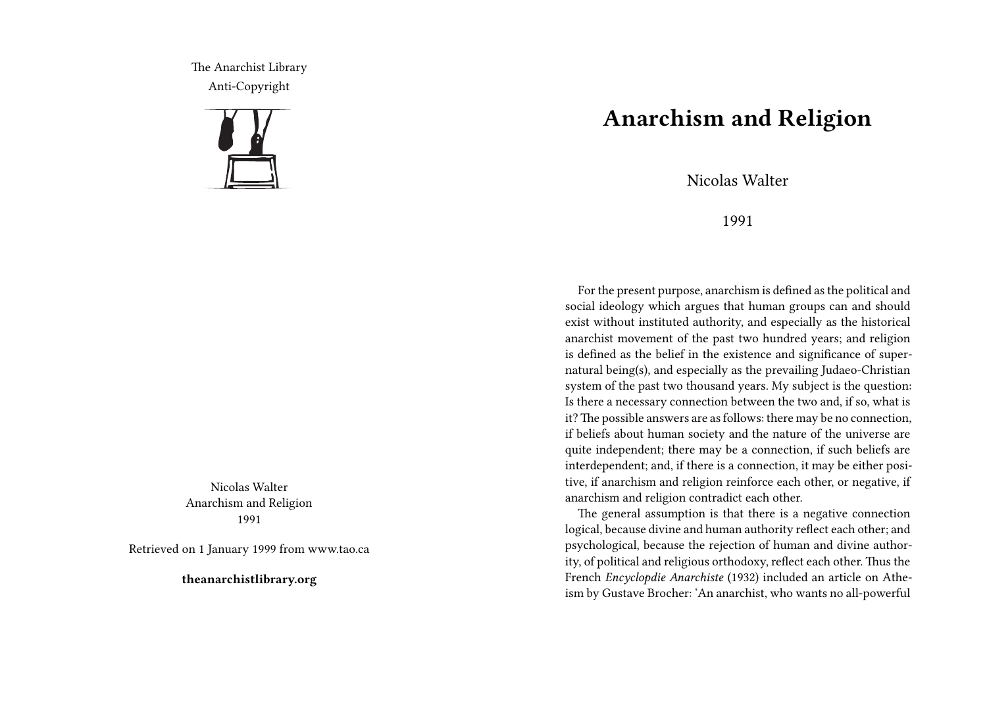The Anarchist Library Anti-Copyright



Nicolas Walter Anarchism and Religion 1991

Retrieved on 1 January 1999 from www.tao.ca

**theanarchistlibrary.org**

## **Anarchism and Religion**

Nicolas Walter

1991

For the present purpose, anarchism is defined as the political and social ideology which argues that human groups can and should exist without instituted authority, and especially as the historical anarchist movement of the past two hundred years; and religion is defined as the belief in the existence and significance of supernatural being(s), and especially as the prevailing Judaeo-Christian system of the past two thousand years. My subject is the question: Is there a necessary connection between the two and, if so, what is it?The possible answers are as follows: there may be no connection, if beliefs about human society and the nature of the universe are quite independent; there may be a connection, if such beliefs are interdependent; and, if there is a connection, it may be either positive, if anarchism and religion reinforce each other, or negative, if anarchism and religion contradict each other.

The general assumption is that there is a negative connection logical, because divine and human authority reflect each other; and psychological, because the rejection of human and divine authority, of political and religious orthodoxy, reflect each other. Thus the French *Encyclopdie Anarchiste* (1932) included an article on Atheism by Gustave Brocher: 'An anarchist, who wants no all-powerful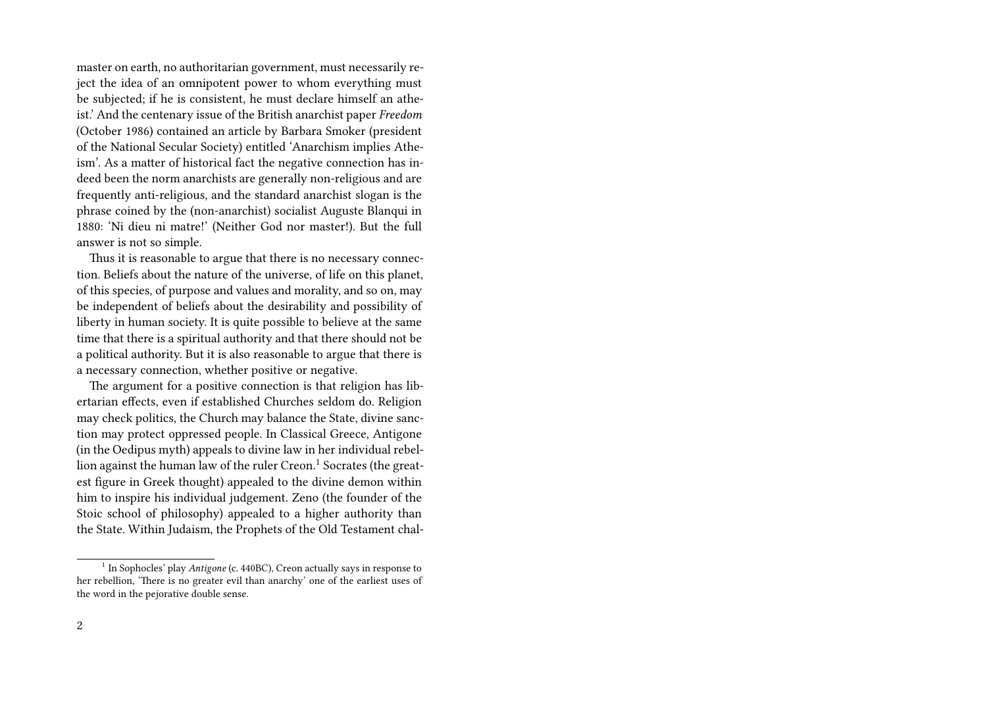master on earth, no authoritarian government, must necessarily reject the idea of an omnipotent power to whom everything must be subjected; if he is consistent, he must declare himself an atheist.' And the centenary issue of the British anarchist paper *Freedom* (October 1986) contained an article by Barbara Smoker (president of the National Secular Society) entitled 'Anarchism implies Atheism'. As a matter of historical fact the negative connection has indeed been the norm anarchists are generally non-religious and are frequently anti-religious, and the standard anarchist slogan is the phrase coined by the (non-anarchist) socialist Auguste Blanqui in 1880: 'Ni dieu ni matre!' (Neither God nor master!). But the full answer is not so simple.

Thus it is reasonable to argue that there is no necessary connection. Beliefs about the nature of the universe, of life on this planet, of this species, of purpose and values and morality, and so on, may be independent of beliefs about the desirability and possibility of liberty in human society. It is quite possible to believe at the same time that there is a spiritual authority and that there should not be a political authority. But it is also reasonable to argue that there is a necessary connection, whether positive or negative.

The argument for a positive connection is that religion has libertarian effects, even if established Churches seldom do. Religion may check politics, the Church may balance the State, divine sanction may protect oppressed people. In Classical Greece, Antigone (in the Oedipus myth) appeals to divine law in her individual rebellion against the human law of the ruler Creon.<sup>1</sup> Socrates (the greatest figure in Greek thought) appealed to the divine demon within him to inspire his individual judgement. Zeno (the founder of the Stoic school of philosophy) appealed to a higher authority than the State. Within Judaism, the Prophets of the Old Testament chal-

<sup>&</sup>lt;sup>1</sup> In Sophocles' play *Antigone* (c. 440BC), Creon actually says in response to her rebellion, 'There is no greater evil than anarchy' one of the earliest uses of the word in the pejorative double sense.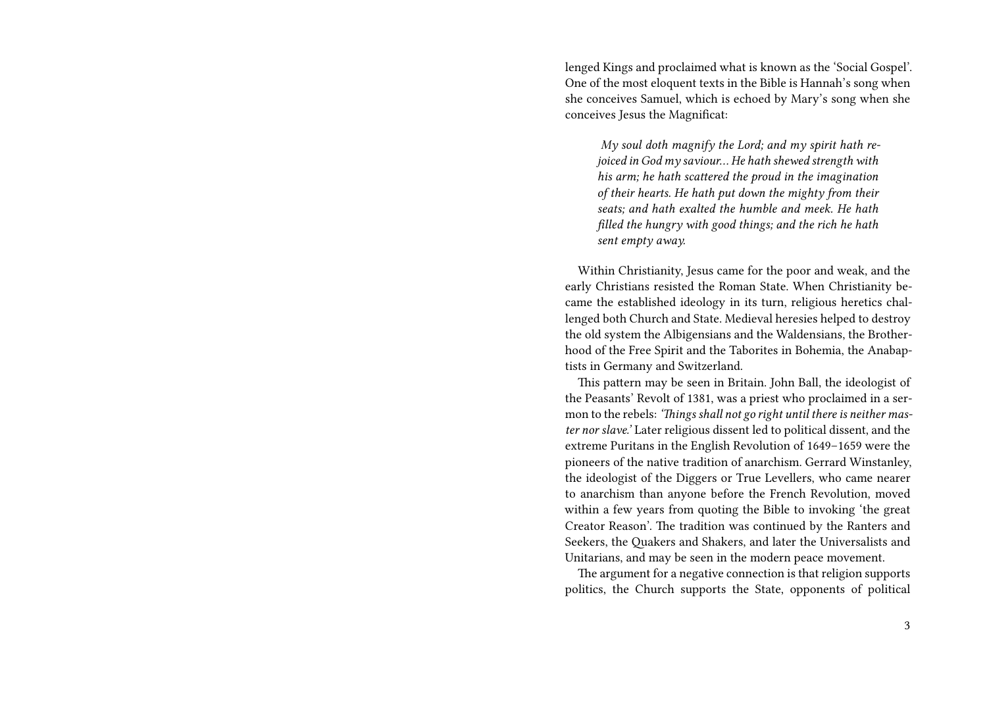lenged Kings and proclaimed what is known as the 'Social Gospel'. One of the most eloquent texts in the Bible is Hannah's song when she conceives Samuel, which is echoed by Mary's song when she conceives Jesus the Magnificat:

*My soul doth magnify the Lord; and my spirit hath rejoiced in God my saviour… He hath shewed strength with his arm; he hath scattered the proud in the imagination of their hearts. He hath put down the mighty from their seats; and hath exalted the humble and meek. He hath filled the hungry with good things; and the rich he hath sent empty away.*

Within Christianity, Jesus came for the poor and weak, and the early Christians resisted the Roman State. When Christianity became the established ideology in its turn, religious heretics challenged both Church and State. Medieval heresies helped to destroy the old system the Albigensians and the Waldensians, the Brotherhood of the Free Spirit and the Taborites in Bohemia, the Anabaptists in Germany and Switzerland.

This pattern may be seen in Britain. John Ball, the ideologist of the Peasants' Revolt of 1381, was a priest who proclaimed in a sermon to the rebels: *'Things shall not go right until there is neither master nor slave.'* Later religious dissent led to political dissent, and the extreme Puritans in the English Revolution of 1649–1659 were the pioneers of the native tradition of anarchism. Gerrard Winstanley, the ideologist of the Diggers or True Levellers, who came nearer to anarchism than anyone before the French Revolution, moved within a few years from quoting the Bible to invoking 'the great Creator Reason'. The tradition was continued by the Ranters and Seekers, the Quakers and Shakers, and later the Universalists and Unitarians, and may be seen in the modern peace movement.

The argument for a negative connection is that religion supports politics, the Church supports the State, opponents of political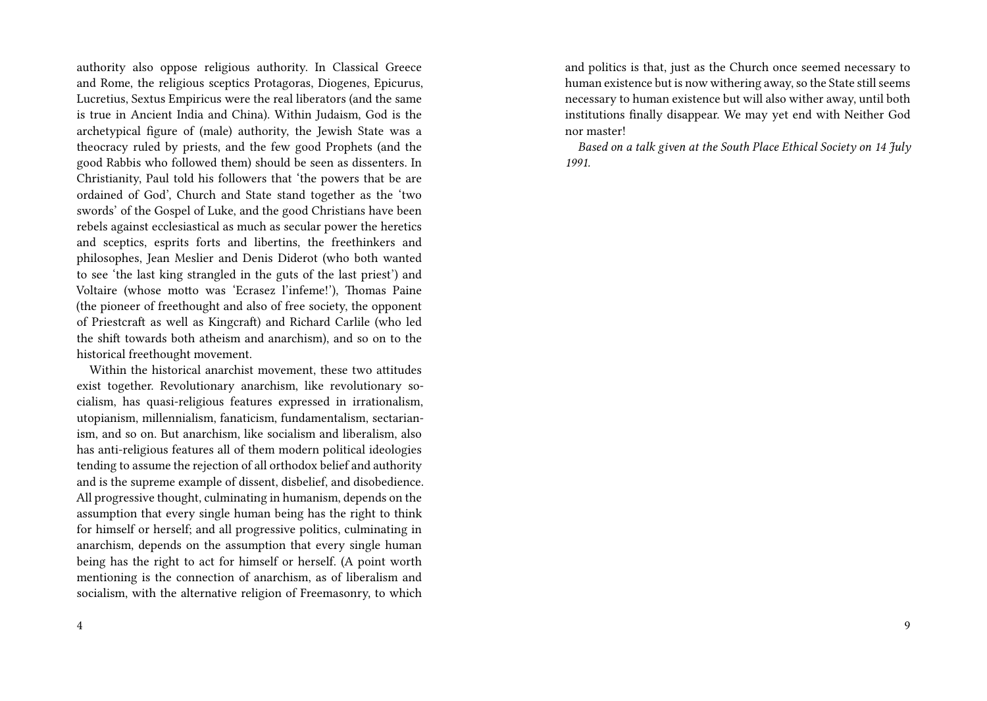authority also oppose religious authority. In Classical Greece and Rome, the religious sceptics Protagoras, Diogenes, Epicurus, Lucretius, Sextus Empiricus were the real liberators (and the same is true in Ancient India and China). Within Judaism, God is the archetypical figure of (male) authority, the Jewish State was a theocracy ruled by priests, and the few good Prophets (and the good Rabbis who followed them) should be seen as dissenters. In Christianity, Paul told his followers that 'the powers that be are ordained of God', Church and State stand together as the 'two swords' of the Gospel of Luke, and the good Christians have been rebels against ecclesiastical as much as secular power the heretics and sceptics, esprits forts and libertins, the freethinkers and philosophes, Jean Meslier and Denis Diderot (who both wanted to see 'the last king strangled in the guts of the last priest') and Voltaire (whose motto was 'Ecrasez l'infeme!'), Thomas Paine (the pioneer of freethought and also of free society, the opponent of Priestcraft as well as Kingcraft) and Richard Carlile (who led the shift towards both atheism and anarchism), and so on to the historical freethought movement.

Within the historical anarchist movement, these two attitudes exist together. Revolutionary anarchism, like revolutionary socialism, has quasi-religious features expressed in irrationalism, utopianism, millennialism, fanaticism, fundamentalism, sectarianism, and so on. But anarchism, like socialism and liberalism, also has anti-religious features all of them modern political ideologies tending to assume the rejection of all orthodox belief and authority and is the supreme example of dissent, disbelief, and disobedience. All progressive thought, culminating in humanism, depends on the assumption that every single human being has the right to think for himself or herself; and all progressive politics, culminating in anarchism, depends on the assumption that every single human being has the right to act for himself or herself. (A point worth mentioning is the connection of anarchism, as of liberalism and socialism, with the alternative religion of Freemasonry, to which and politics is that, just as the Church once seemed necessary to human existence but is now withering away, so the State still seems necessary to human existence but will also wither away, until both institutions finally disappear. We may yet end with Neither God nor master!

*Based on a talk given at the South Place Ethical Society on 14 July 1991.*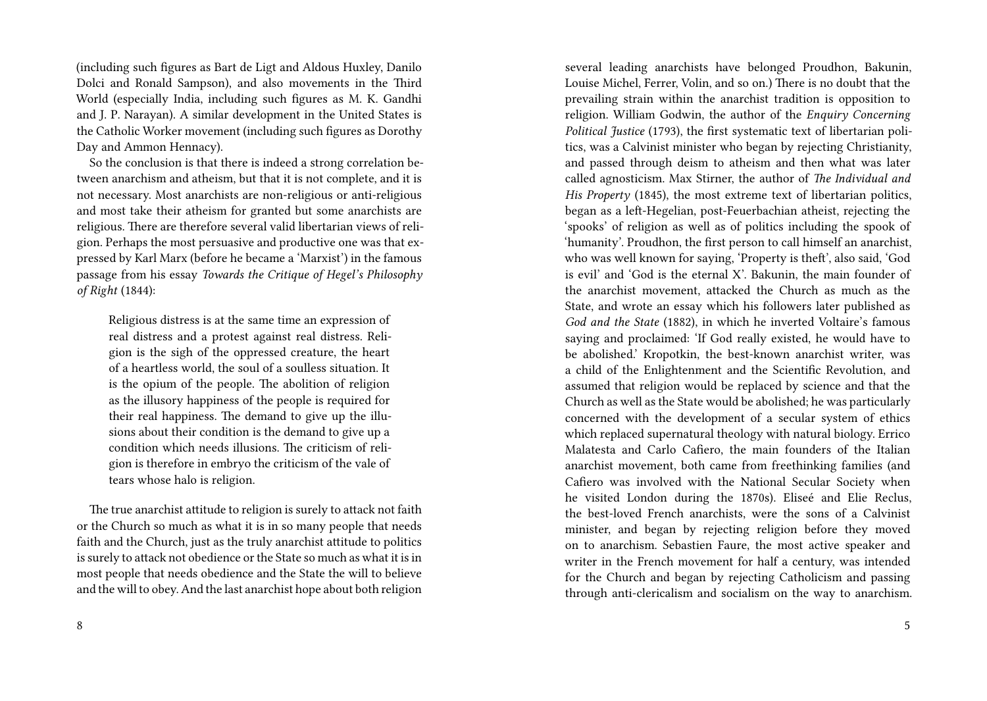(including such figures as Bart de Ligt and Aldous Huxley, Danilo Dolci and Ronald Sampson), and also movements in the Third World (especially India, including such figures as M. K. Gandhi and J. P. Narayan). A similar development in the United States is the Catholic Worker movement (including such figures as Dorothy Day and Ammon Hennacy).

So the conclusion is that there is indeed a strong correlation between anarchism and atheism, but that it is not complete, and it is not necessary. Most anarchists are non-religious or anti-religious and most take their atheism for granted but some anarchists are religious. There are therefore several valid libertarian views of religion. Perhaps the most persuasive and productive one was that expressed by Karl Marx (before he became a 'Marxist') in the famous passage from his essay *Towards the Critique of Hegel's Philosophy of Right* (1844):

Religious distress is at the same time an expression of real distress and a protest against real distress. Religion is the sigh of the oppressed creature, the heart of a heartless world, the soul of a soulless situation. It is the opium of the people. The abolition of religion as the illusory happiness of the people is required for their real happiness. The demand to give up the illusions about their condition is the demand to give up a condition which needs illusions. The criticism of religion is therefore in embryo the criticism of the vale of tears whose halo is religion.

The true anarchist attitude to religion is surely to attack not faith or the Church so much as what it is in so many people that needs faith and the Church, just as the truly anarchist attitude to politics is surely to attack not obedience or the State so much as what it is in most people that needs obedience and the State the will to believe and the will to obey. And the last anarchist hope about both religion

several leading anarchists have belonged Proudhon, Bakunin, Louise Michel, Ferrer, Volin, and so on.) There is no doubt that the prevailing strain within the anarchist tradition is opposition to religion. William Godwin, the author of the *Enquiry Concerning Political Justice* (1793), the first systematic text of libertarian politics, was a Calvinist minister who began by rejecting Christianity, and passed through deism to atheism and then what was later called agnosticism. Max Stirner, the author of *The Individual and His Property* (1845), the most extreme text of libertarian politics, began as a left-Hegelian, post-Feuerbachian atheist, rejecting the 'spooks' of religion as well as of politics including the spook of 'humanity'. Proudhon, the first person to call himself an anarchist, who was well known for saying, 'Property is theft', also said, 'God is evil' and 'God is the eternal X'. Bakunin, the main founder of the anarchist movement, attacked the Church as much as the State, and wrote an essay which his followers later published as *God and the State* (1882), in which he inverted Voltaire's famous saying and proclaimed: 'If God really existed, he would have to be abolished.' Kropotkin, the best-known anarchist writer, was a child of the Enlightenment and the Scientific Revolution, and assumed that religion would be replaced by science and that the Church as well as the State would be abolished; he was particularly concerned with the development of a secular system of ethics which replaced supernatural theology with natural biology. Errico Malatesta and Carlo Cafiero, the main founders of the Italian anarchist movement, both came from freethinking families (and Cafiero was involved with the National Secular Society when he visited London during the 1870s). Eliseé and Elie Reclus, the best-loved French anarchists, were the sons of a Calvinist minister, and began by rejecting religion before they moved on to anarchism. Sebastien Faure, the most active speaker and writer in the French movement for half a century, was intended for the Church and began by rejecting Catholicism and passing through anti-clericalism and socialism on the way to anarchism.